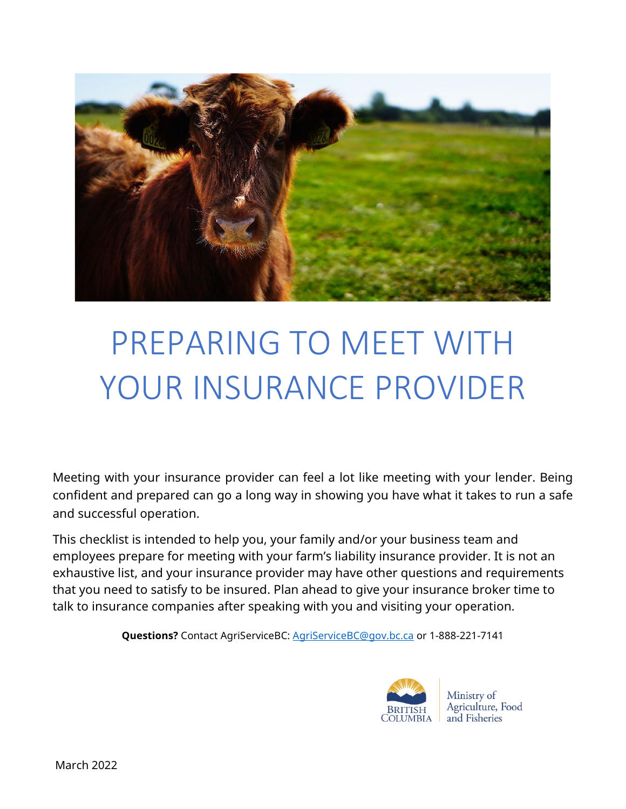

# PREPARING TO MEET WITH YOUR INSURANCE PROVIDER

Meeting with your insurance provider can feel a lot like meeting with your lender. Being confident and prepared can go a long way in showing you have what it takes to run a safe and successful operation.

This checklist is intended to help you, your family and/or your business team and employees prepare for meeting with your farm's liability insurance provider. It is not an exhaustive list, and your insurance provider may have other questions and requirements that you need to satisfy to be insured. Plan ahead to give your insurance broker time to talk to insurance companies after speaking with you and visiting your operation.

**Questions?** Contact AgriServiceBC: [AgriServiceBC@gov.bc.ca](mailto:AgriServiceBC@gov.bc.ca) or 1-888-221-7141



Ministry of Agriculture, Food and Fisheries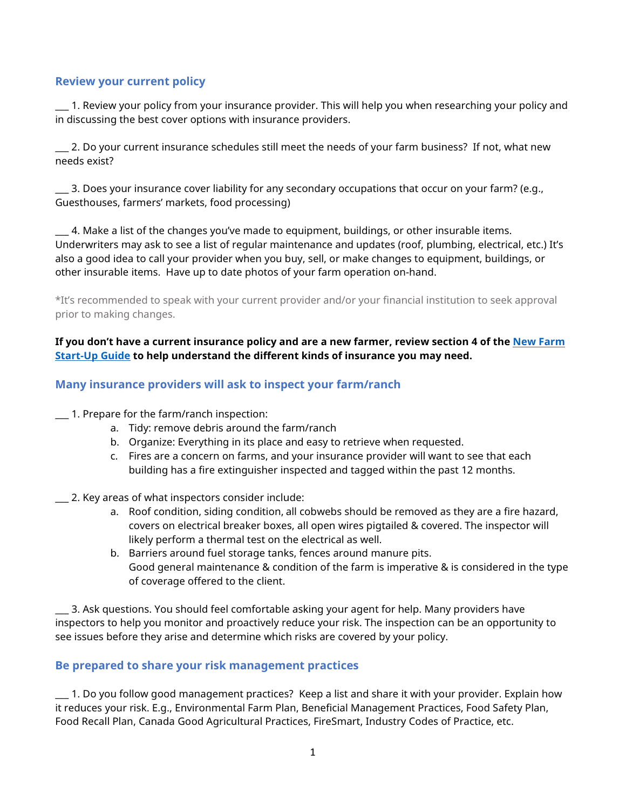### **Review your current policy**

\_\_\_ 1. Review your policy from your insurance provider. This will help you when researching your policy and in discussing the best cover options with insurance providers.

\_\_\_ 2. Do your current insurance schedules still meet the needs of your farm business? If not, what new needs exist?

\_\_\_ 3. Does your insurance cover liability for any secondary occupations that occur on your farm? (e.g., Guesthouses, farmers' markets, food processing)

\_\_\_ 4. Make a list of the changes you've made to equipment, buildings, or other insurable items. Underwriters may ask to see a list of regular maintenance and updates (roof, plumbing, electrical, etc.) It's also a good idea to call your provider when you buy, sell, or make changes to equipment, buildings, or other insurable items. Have up to date photos of your farm operation on-hand.

\*It's recommended to speak with your current provider and/or your financial institution to seek approval prior to making changes.

**If you don't have a current insurance policy and are a new farmer, review section 4 of the [New Farm](https://www2.gov.bc.ca/assets/gov/farming-natural-resources-and-industry/agriculture-and-seafood/farm-management/farm-business-management/new_farm_start-up_guide.pdf)  [Start-Up Guide](https://www2.gov.bc.ca/assets/gov/farming-natural-resources-and-industry/agriculture-and-seafood/farm-management/farm-business-management/new_farm_start-up_guide.pdf) to help understand the different kinds of insurance you may need.** 

#### **Many insurance providers will ask to inspect your farm/ranch**

\_\_\_ 1. Prepare for the farm/ranch inspection:

- a. Tidy: remove debris around the farm/ranch
- b. Organize: Everything in its place and easy to retrieve when requested.
- c. Fires are a concern on farms, and your insurance provider will want to see that each building has a fire extinguisher inspected and tagged within the past 12 months.
- \_\_\_ 2. Key areas of what inspectors consider include:
	- a. Roof condition, siding condition, all cobwebs should be removed as they are a fire hazard, covers on electrical breaker boxes, all open wires pigtailed & covered. The inspector will likely perform a thermal test on the electrical as well.
	- b. Barriers around fuel storage tanks, fences around manure pits. Good general maintenance & condition of the farm is imperative & is considered in the type of coverage offered to the client.

\_\_\_ 3. Ask questions. You should feel comfortable asking your agent for help. Many providers have inspectors to help you monitor and proactively reduce your risk. The inspection can be an opportunity to see issues before they arise and determine which risks are covered by your policy.

#### **Be prepared to share your risk management practices**

\_\_\_ 1. Do you follow good management practices? Keep a list and share it with your provider. Explain how it reduces your risk. E.g., Environmental Farm Plan, Beneficial Management Practices, Food Safety Plan, Food Recall Plan, Canada Good Agricultural Practices, FireSmart, Industry Codes of Practice, etc.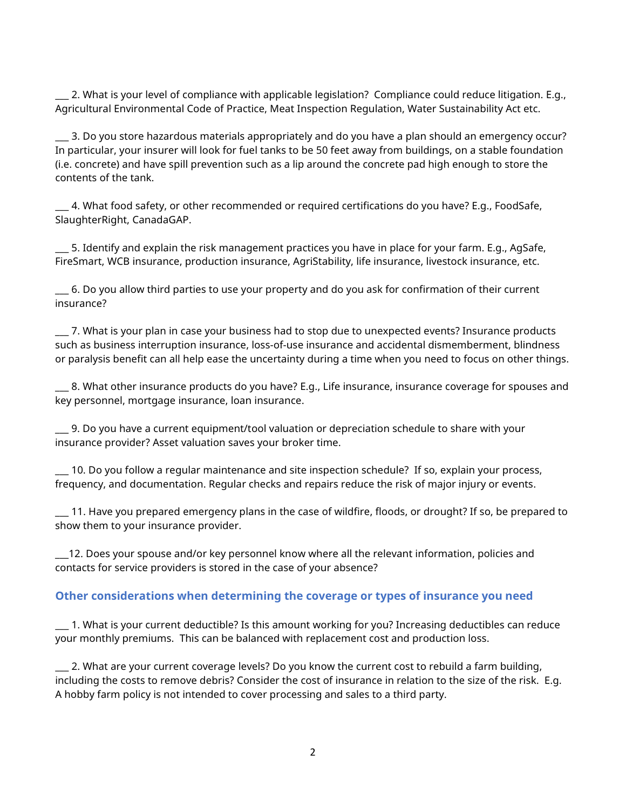\_\_\_ 2. What is your level of compliance with applicable legislation? Compliance could reduce litigation. E.g., Agricultural Environmental Code of Practice, Meat Inspection Regulation, Water Sustainability Act etc.

\_\_\_ 3. Do you store hazardous materials appropriately and do you have a plan should an emergency occur? In particular, your insurer will look for fuel tanks to be 50 feet away from buildings, on a stable foundation (i.e. concrete) and have spill prevention such as a lip around the concrete pad high enough to store the contents of the tank.

 $\_$  4. What food safety, or other recommended or required certifications do you have? E.g., FoodSafe,  $\,$ SlaughterRight, CanadaGAP.

5. Identify and explain the risk management practices you have in place for your farm. E.g., AgSafe, FireSmart, WCB insurance, production insurance, AgriStability, life insurance, livestock insurance, etc.

\_\_\_ 6. Do you allow third parties to use your property and do you ask for confirmation of their current insurance?

\_\_\_ 7. What is your plan in case your business had to stop due to unexpected events? Insurance products such as business interruption insurance, loss-of-use insurance and accidental dismemberment, blindness or paralysis benefit can all help ease the uncertainty during a time when you need to focus on other things.

\_\_\_ 8. What other insurance products do you have? E.g., Life insurance, insurance coverage for spouses and key personnel, mortgage insurance, loan insurance.

\_\_\_ 9. Do you have a current equipment/tool valuation or depreciation schedule to share with your insurance provider? Asset valuation saves your broker time.

\_\_\_ 10. Do you follow a regular maintenance and site inspection schedule? If so, explain your process, frequency, and documentation. Regular checks and repairs reduce the risk of major injury or events.

\_\_\_ 11. Have you prepared emergency plans in the case of wildfire, floods, or drought? If so, be prepared to show them to your insurance provider.

\_\_\_12. Does your spouse and/or key personnel know where all the relevant information, policies and contacts for service providers is stored in the case of your absence?

#### **Other considerations when determining the coverage or types of insurance you need**

\_\_\_ 1. What is your current deductible? Is this amount working for you? Increasing deductibles can reduce your monthly premiums. This can be balanced with replacement cost and production loss.

\_\_\_ 2. What are your current coverage levels? Do you know the current cost to rebuild a farm building, including the costs to remove debris? Consider the cost of insurance in relation to the size of the risk. E.g. A hobby farm policy is not intended to cover processing and sales to a third party.